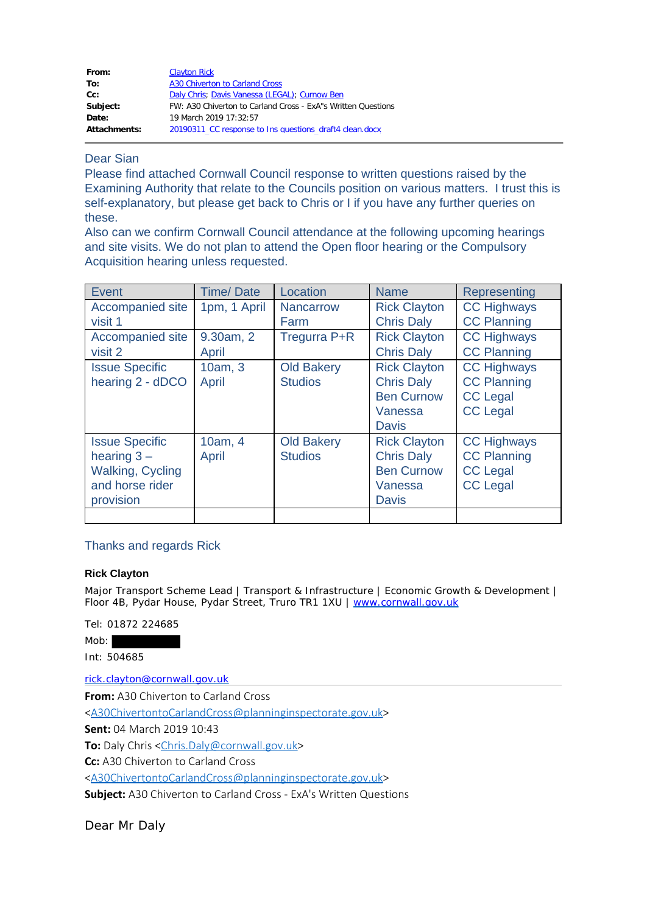| From:        | <b>Clayton Rick</b>                                          |
|--------------|--------------------------------------------------------------|
| To:          | A30 Chiverton to Carland Cross                               |
| $Cc$ :       | Daly Chris; Davis Vanessa (LEGAL); Curnow Ben                |
| Subject:     | FW: A30 Chiverton to Carland Cross - ExA"s Written Questions |
| Date:        | 19 March 2019 17:32:57                                       |
| Attachments: | 20190311 CC response to Ins questions draft4 clean.docx      |

## Dear Sian

Please find attached Cornwall Council response to written questions raised by the Examining Authority that relate to the Councils position on various matters. I trust this is self-explanatory, but please get back to Chris or I if you have any further queries on these.

Also can we confirm Cornwall Council attendance at the following upcoming hearings and site visits. We do not plan to attend the Open floor hearing or the Compulsory Acquisition hearing unless requested.

| Event                                                                                             | <b>Time/Date</b>   | Location                            | <b>Name</b>                                                                              | Representing                                                                   |
|---------------------------------------------------------------------------------------------------|--------------------|-------------------------------------|------------------------------------------------------------------------------------------|--------------------------------------------------------------------------------|
| Accompanied site<br>visit 1                                                                       | 1pm, 1 April       | <b>Nancarrow</b><br>Farm            | <b>Rick Clayton</b><br><b>Chris Daly</b>                                                 | <b>CC Highways</b><br><b>CC Planning</b>                                       |
| Accompanied site<br>visit 2                                                                       | 9.30am, 2<br>April | Tregurra P+R                        | <b>Rick Clayton</b><br><b>Chris Daly</b>                                                 | <b>CC Highways</b><br><b>CC Planning</b>                                       |
| <b>Issue Specific</b><br>hearing 2 - dDCO                                                         | 10am, 3<br>April   | <b>Old Bakery</b><br><b>Studios</b> | <b>Rick Clayton</b><br><b>Chris Daly</b><br><b>Ben Curnow</b><br>Vanessa<br><b>Davis</b> | <b>CC Highways</b><br><b>CC Planning</b><br><b>CC Legal</b><br><b>CC Legal</b> |
| <b>Issue Specific</b><br>hearing $3 -$<br><b>Walking, Cycling</b><br>and horse rider<br>provision | 10am, 4<br>April   | <b>Old Bakery</b><br><b>Studios</b> | <b>Rick Clayton</b><br><b>Chris Daly</b><br><b>Ben Curnow</b><br>Vanessa<br><b>Davis</b> | <b>CC Highways</b><br><b>CC Planning</b><br><b>CC Legal</b><br><b>CC Legal</b> |
|                                                                                                   |                    |                                     |                                                                                          |                                                                                |

## Thanks and regards Rick

## **Rick Clayton**

Major Transport Scheme Lead | Transport & Infrastructure | Economic Growth & Development | Floor 4B, Pydar House, Pydar Street, Truro TR1 1XU | [www.cornwall.gov.uk](http://www.cornwall.gov.uk/)

Tel: 01872 224685

Mob:

Int: 504685

[rick.clayton@cornwall.gov.uk](mailto:rick.clayton@cornwall.gov.uk)

**From:** A30 Chiverton to Carland Cross

[<A30ChivertontoCarlandCross@planninginspectorate.gov.uk](mailto:A30ChivertontoCarlandCross@planninginspectorate.gov.uk)>

**Sent:** 04 March 2019 10:43

**To:** Daly Chris [<Chris.Daly@cornwall.gov.uk](mailto:Chris.Daly@cornwall.gov.uk)>

**Cc:** A30 Chiverton to Carland Cross

[<A30ChivertontoCarlandCross@planninginspectorate.gov.uk](mailto:A30ChivertontoCarlandCross@planninginspectorate.gov.uk)>

**Subject:** A30 Chiverton to Carland Cross - ExA's Written Questions

Dear Mr Daly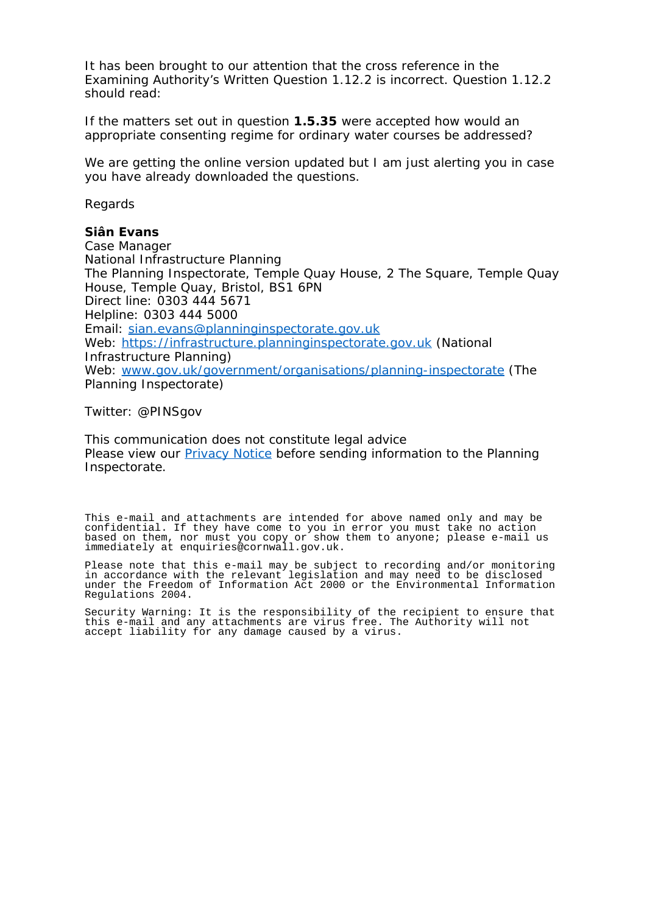It has been brought to our attention that the cross reference in the Examining Authority's Written Question 1.12.2 is incorrect. Question 1.12.2 should read:

*If the matters set out in question 1.5.35 were accepted how would an appropriate consenting regime for ordinary water courses be addressed?*

We are getting the online version updated but I am just alerting you in case you have already downloaded the questions.

Regards

## **Siân Evans**

Case Manager National Infrastructure Planning The Planning Inspectorate, Temple Quay House, 2 The Square, Temple Quay House, Temple Quay, Bristol, BS1 6PN Direct line: 0303 444 5671 Helpline: 0303 444 5000 Email: [sian.evans@planninginspectorate.gov.uk](mailto:sian.evans@planninginspectorate.gov.uk) Web: [https://infrastructure.planninginspectorate.gov.uk](https://infrastructure.planninginspectorate.gov.uk/) (National Infrastructure Planning) Web: [www.gov.uk/government/organisations/planning-inspectorate](http://www.gov.uk/government/organisations/planning-inspectorate) (The Planning Inspectorate)

Twitter: @PINSgov

This communication does not constitute legal advice Please view our **Privacy Notice** before sending information to the Planning Inspectorate.

This e-mail and attachments are intended for above named only and may be confidential. If they have come to you in error you must take no action based on them, nor must you copy or show them to anyone; please e-mail us immediately at enquiries@cornwall.gov.uk.

Please note that this e-mail may be subject to recording and/or monitoring in accordance with the relevant legislation and may need to be disclosed under the Freedom of Information Act 2000 or the Environmental Information Regulations 2004.

Security Warning: It is the responsibility of the recipient to ensure that this e-mail and any attachments are virus free. The Authority will not accept liability for any damage caused by a virus.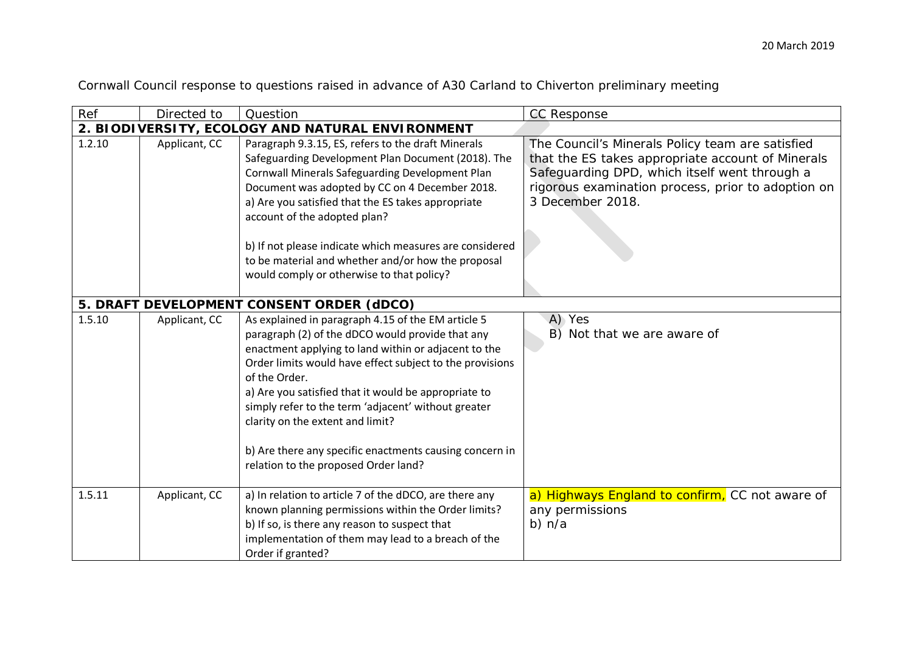| Cornwall Council response to questions raised in advance of A30 Carland to Chiverton preliminary meeting |  |  |
|----------------------------------------------------------------------------------------------------------|--|--|
|----------------------------------------------------------------------------------------------------------|--|--|

| Ref    | Directed to   | Question                                                                                                                                                                                                                                                                                                                                                                                                                                                                                          | <b>CC Response</b>                                                                                                                                                                                                               |
|--------|---------------|---------------------------------------------------------------------------------------------------------------------------------------------------------------------------------------------------------------------------------------------------------------------------------------------------------------------------------------------------------------------------------------------------------------------------------------------------------------------------------------------------|----------------------------------------------------------------------------------------------------------------------------------------------------------------------------------------------------------------------------------|
|        |               | 2. BIODIVERSITY, ECOLOGY AND NATURAL ENVIRONMENT                                                                                                                                                                                                                                                                                                                                                                                                                                                  |                                                                                                                                                                                                                                  |
| 1.2.10 | Applicant, CC | Paragraph 9.3.15, ES, refers to the draft Minerals<br>Safeguarding Development Plan Document (2018). The<br>Cornwall Minerals Safeguarding Development Plan<br>Document was adopted by CC on 4 December 2018.<br>a) Are you satisfied that the ES takes appropriate<br>account of the adopted plan?                                                                                                                                                                                               | The Council's Minerals Policy team are satisfied<br>that the ES takes appropriate account of Minerals<br>Safeguarding DPD, which itself went through a<br>rigorous examination process, prior to adoption on<br>3 December 2018. |
|        |               | b) If not please indicate which measures are considered<br>to be material and whether and/or how the proposal<br>would comply or otherwise to that policy?                                                                                                                                                                                                                                                                                                                                        |                                                                                                                                                                                                                                  |
|        |               | 5. DRAFT DEVELOPMENT CONSENT ORDER (dDCO)                                                                                                                                                                                                                                                                                                                                                                                                                                                         |                                                                                                                                                                                                                                  |
| 1.5.10 | Applicant, CC | As explained in paragraph 4.15 of the EM article 5<br>paragraph (2) of the dDCO would provide that any<br>enactment applying to land within or adjacent to the<br>Order limits would have effect subject to the provisions<br>of the Order.<br>a) Are you satisfied that it would be appropriate to<br>simply refer to the term 'adjacent' without greater<br>clarity on the extent and limit?<br>b) Are there any specific enactments causing concern in<br>relation to the proposed Order land? | A) Yes<br>B) Not that we are aware of                                                                                                                                                                                            |
| 1.5.11 | Applicant, CC | a) In relation to article 7 of the dDCO, are there any<br>known planning permissions within the Order limits?<br>b) If so, is there any reason to suspect that<br>implementation of them may lead to a breach of the<br>Order if granted?                                                                                                                                                                                                                                                         | a) Highways England to confirm, CC not aware of<br>any permissions<br>$b)$ n/a                                                                                                                                                   |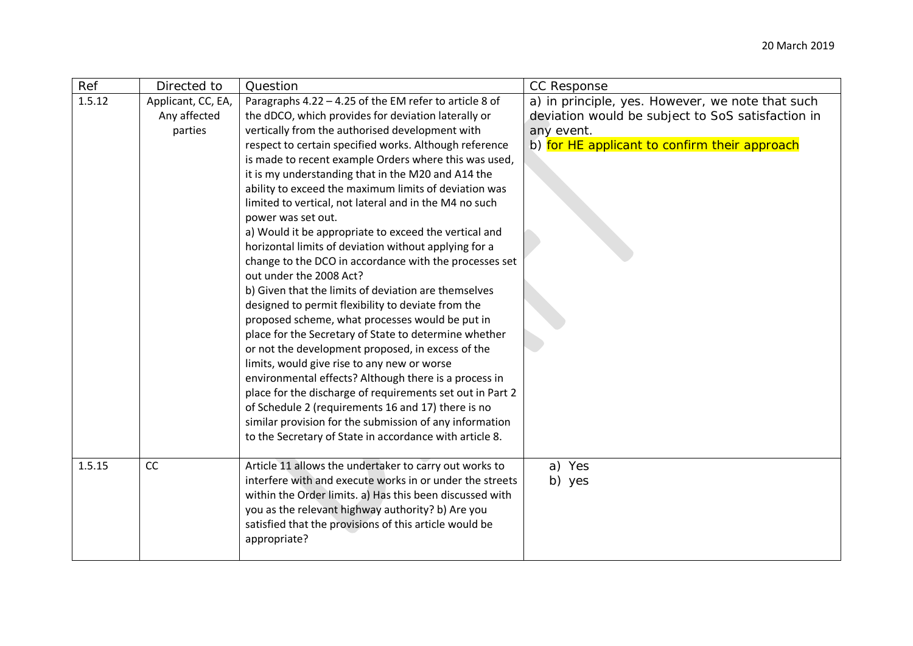| Ref    | Directed to                                   | Question                                                                                                                                                                                                                                                                                                                                                                                                                                                                                                                                                                                                                                                                                                                                                                                                                                                                                                                                                                                                                                                                                                                                                                                                                                                                                                                  | CC Response                                                                                                                                                          |
|--------|-----------------------------------------------|---------------------------------------------------------------------------------------------------------------------------------------------------------------------------------------------------------------------------------------------------------------------------------------------------------------------------------------------------------------------------------------------------------------------------------------------------------------------------------------------------------------------------------------------------------------------------------------------------------------------------------------------------------------------------------------------------------------------------------------------------------------------------------------------------------------------------------------------------------------------------------------------------------------------------------------------------------------------------------------------------------------------------------------------------------------------------------------------------------------------------------------------------------------------------------------------------------------------------------------------------------------------------------------------------------------------------|----------------------------------------------------------------------------------------------------------------------------------------------------------------------|
| 1.5.12 | Applicant, CC, EA,<br>Any affected<br>parties | Paragraphs 4.22 - 4.25 of the EM refer to article 8 of<br>the dDCO, which provides for deviation laterally or<br>vertically from the authorised development with<br>respect to certain specified works. Although reference<br>is made to recent example Orders where this was used,<br>it is my understanding that in the M20 and A14 the<br>ability to exceed the maximum limits of deviation was<br>limited to vertical, not lateral and in the M4 no such<br>power was set out.<br>a) Would it be appropriate to exceed the vertical and<br>horizontal limits of deviation without applying for a<br>change to the DCO in accordance with the processes set<br>out under the 2008 Act?<br>b) Given that the limits of deviation are themselves<br>designed to permit flexibility to deviate from the<br>proposed scheme, what processes would be put in<br>place for the Secretary of State to determine whether<br>or not the development proposed, in excess of the<br>limits, would give rise to any new or worse<br>environmental effects? Although there is a process in<br>place for the discharge of requirements set out in Part 2<br>of Schedule 2 (requirements 16 and 17) there is no<br>similar provision for the submission of any information<br>to the Secretary of State in accordance with article 8. | a) in principle, yes. However, we note that such<br>deviation would be subject to SoS satisfaction in<br>any event.<br>b) for HE applicant to confirm their approach |
| 1.5.15 | CC                                            | Article 11 allows the undertaker to carry out works to<br>interfere with and execute works in or under the streets<br>within the Order limits. a) Has this been discussed with<br>you as the relevant highway authority? b) Are you<br>satisfied that the provisions of this article would be<br>appropriate?                                                                                                                                                                                                                                                                                                                                                                                                                                                                                                                                                                                                                                                                                                                                                                                                                                                                                                                                                                                                             | a) Yes<br>b) yes                                                                                                                                                     |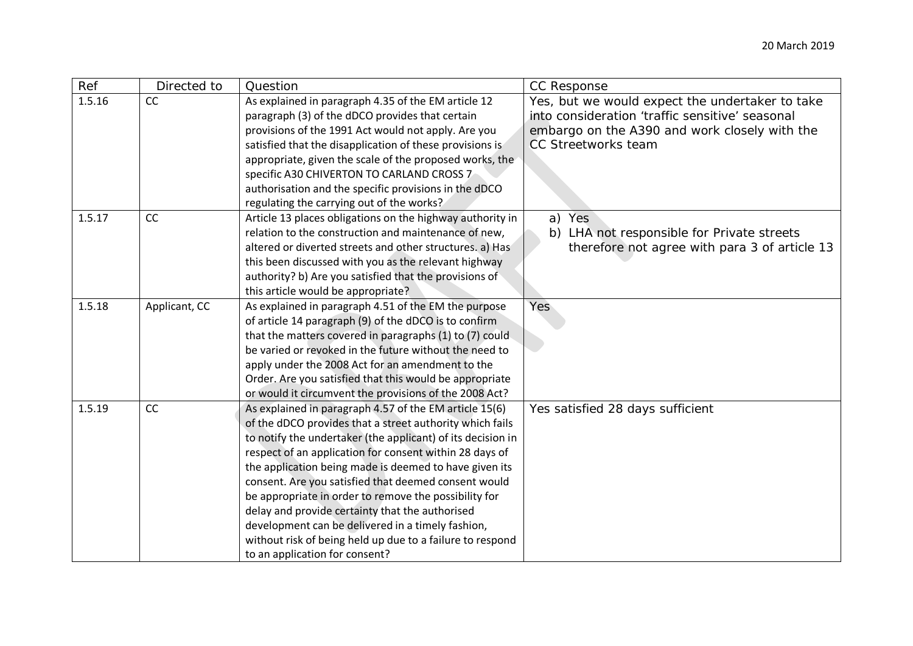| Ref    | Directed to   | Question                                                    | <b>CC Response</b>                              |
|--------|---------------|-------------------------------------------------------------|-------------------------------------------------|
| 1.5.16 | CC            | As explained in paragraph 4.35 of the EM article 12         | Yes, but we would expect the undertaker to take |
|        |               | paragraph (3) of the dDCO provides that certain             | into consideration 'traffic sensitive' seasonal |
|        |               | provisions of the 1991 Act would not apply. Are you         | embargo on the A390 and work closely with the   |
|        |               | satisfied that the disapplication of these provisions is    | CC Streetworks team                             |
|        |               | appropriate, given the scale of the proposed works, the     |                                                 |
|        |               | specific A30 CHIVERTON TO CARLAND CROSS 7                   |                                                 |
|        |               | authorisation and the specific provisions in the dDCO       |                                                 |
|        |               | regulating the carrying out of the works?                   |                                                 |
| 1.5.17 | CC            | Article 13 places obligations on the highway authority in   | a) Yes                                          |
|        |               | relation to the construction and maintenance of new,        | b) LHA not responsible for Private streets      |
|        |               | altered or diverted streets and other structures. a) Has    | therefore not agree with para 3 of article 13   |
|        |               | this been discussed with you as the relevant highway        |                                                 |
|        |               | authority? b) Are you satisfied that the provisions of      |                                                 |
|        |               | this article would be appropriate?                          |                                                 |
| 1.5.18 | Applicant, CC | As explained in paragraph 4.51 of the EM the purpose        | Yes                                             |
|        |               | of article 14 paragraph (9) of the dDCO is to confirm       |                                                 |
|        |               | that the matters covered in paragraphs (1) to (7) could     |                                                 |
|        |               | be varied or revoked in the future without the need to      |                                                 |
|        |               | apply under the 2008 Act for an amendment to the            |                                                 |
|        |               | Order. Are you satisfied that this would be appropriate     |                                                 |
|        |               | or would it circumvent the provisions of the 2008 Act?      |                                                 |
| 1.5.19 | CC            | As explained in paragraph 4.57 of the EM article 15(6)      | Yes satisfied 28 days sufficient                |
|        |               | of the dDCO provides that a street authority which fails    |                                                 |
|        |               | to notify the undertaker (the applicant) of its decision in |                                                 |
|        |               | respect of an application for consent within 28 days of     |                                                 |
|        |               | the application being made is deemed to have given its      |                                                 |
|        |               | consent. Are you satisfied that deemed consent would        |                                                 |
|        |               | be appropriate in order to remove the possibility for       |                                                 |
|        |               | delay and provide certainty that the authorised             |                                                 |
|        |               | development can be delivered in a timely fashion,           |                                                 |
|        |               | without risk of being held up due to a failure to respond   |                                                 |
|        |               | to an application for consent?                              |                                                 |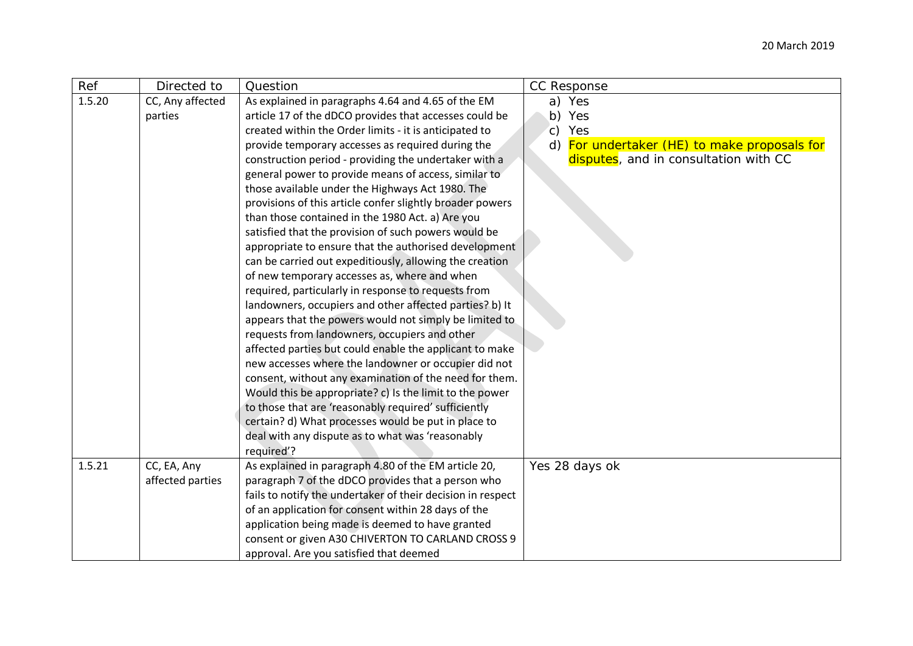| Ref    | Directed to      | Question                                                                                                 | CC Response                                  |
|--------|------------------|----------------------------------------------------------------------------------------------------------|----------------------------------------------|
| 1.5.20 | CC, Any affected | As explained in paragraphs 4.64 and 4.65 of the EM                                                       | a) Yes                                       |
|        | parties          | article 17 of the dDCO provides that accesses could be                                                   | b) Yes                                       |
|        |                  | created within the Order limits - it is anticipated to                                                   | Yes<br>$\mathsf{C}$ )                        |
|        |                  | provide temporary accesses as required during the                                                        | d) For undertaker (HE) to make proposals for |
|        |                  | construction period - providing the undertaker with a                                                    | disputes, and in consultation with CC        |
|        |                  | general power to provide means of access, similar to                                                     |                                              |
|        |                  | those available under the Highways Act 1980. The                                                         |                                              |
|        |                  | provisions of this article confer slightly broader powers                                                |                                              |
|        |                  | than those contained in the 1980 Act. a) Are you                                                         |                                              |
|        |                  | satisfied that the provision of such powers would be                                                     |                                              |
|        |                  | appropriate to ensure that the authorised development                                                    |                                              |
|        |                  | can be carried out expeditiously, allowing the creation                                                  |                                              |
|        |                  | of new temporary accesses as, where and when                                                             |                                              |
|        |                  | required, particularly in response to requests from                                                      |                                              |
|        |                  | landowners, occupiers and other affected parties? b) It                                                  |                                              |
|        |                  | appears that the powers would not simply be limited to                                                   |                                              |
|        |                  | requests from landowners, occupiers and other<br>affected parties but could enable the applicant to make |                                              |
|        |                  | new accesses where the landowner or occupier did not                                                     |                                              |
|        |                  | consent, without any examination of the need for them.                                                   |                                              |
|        |                  | Would this be appropriate? c) Is the limit to the power                                                  |                                              |
|        |                  | to those that are 'reasonably required' sufficiently                                                     |                                              |
|        |                  | certain? d) What processes would be put in place to                                                      |                                              |
|        |                  | deal with any dispute as to what was 'reasonably                                                         |                                              |
|        |                  | required'?                                                                                               |                                              |
| 1.5.21 | CC, EA, Any      | As explained in paragraph 4.80 of the EM article 20,                                                     | Yes 28 days ok                               |
|        | affected parties | paragraph 7 of the dDCO provides that a person who                                                       |                                              |
|        |                  | fails to notify the undertaker of their decision in respect                                              |                                              |
|        |                  | of an application for consent within 28 days of the                                                      |                                              |
|        |                  | application being made is deemed to have granted                                                         |                                              |
|        |                  | consent or given A30 CHIVERTON TO CARLAND CROSS 9                                                        |                                              |
|        |                  | approval. Are you satisfied that deemed                                                                  |                                              |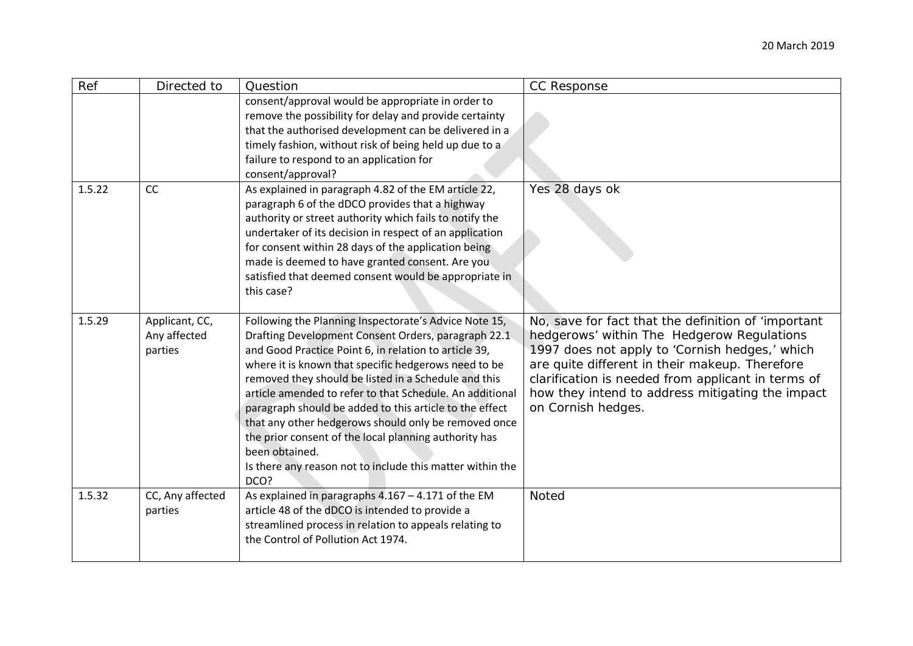| Ref    | Directed to                               | Question                                                                                                                                                                                                                                                                                                                                                                                                                                                                                                                                                                                                             | <b>CC Response</b>                                                                                                                                                                                                                                                                                                                    |
|--------|-------------------------------------------|----------------------------------------------------------------------------------------------------------------------------------------------------------------------------------------------------------------------------------------------------------------------------------------------------------------------------------------------------------------------------------------------------------------------------------------------------------------------------------------------------------------------------------------------------------------------------------------------------------------------|---------------------------------------------------------------------------------------------------------------------------------------------------------------------------------------------------------------------------------------------------------------------------------------------------------------------------------------|
|        |                                           | consent/approval would be appropriate in order to<br>remove the possibility for delay and provide certainty<br>that the authorised development can be delivered in a<br>timely fashion, without risk of being held up due to a<br>failure to respond to an application for<br>consent/approval?                                                                                                                                                                                                                                                                                                                      |                                                                                                                                                                                                                                                                                                                                       |
| 1.5.22 | CC                                        | As explained in paragraph 4.82 of the EM article 22,<br>paragraph 6 of the dDCO provides that a highway<br>authority or street authority which fails to notify the<br>undertaker of its decision in respect of an application<br>for consent within 28 days of the application being<br>made is deemed to have granted consent. Are you<br>satisfied that deemed consent would be appropriate in<br>this case?                                                                                                                                                                                                       | Yes 28 days ok                                                                                                                                                                                                                                                                                                                        |
| 1.5.29 | Applicant, CC,<br>Any affected<br>parties | Following the Planning Inspectorate's Advice Note 15,<br>Drafting Development Consent Orders, paragraph 22.1<br>and Good Practice Point 6, in relation to article 39,<br>where it is known that specific hedgerows need to be<br>removed they should be listed in a Schedule and this<br>article amended to refer to that Schedule. An additional<br>paragraph should be added to this article to the effect<br>that any other hedgerows should only be removed once<br>the prior consent of the local planning authority has<br>been obtained.<br>Is there any reason not to include this matter within the<br>DCO? | No, save for fact that the definition of 'important<br>hedgerows' within The Hedgerow Regulations<br>1997 does not apply to 'Cornish hedges,' which<br>are quite different in their makeup. Therefore<br>clarification is needed from applicant in terms of<br>how they intend to address mitigating the impact<br>on Cornish hedges. |
| 1.5.32 | CC, Any affected<br>parties               | As explained in paragraphs $4.167 - 4.171$ of the EM<br>article 48 of the dDCO is intended to provide a<br>streamlined process in relation to appeals relating to<br>the Control of Pollution Act 1974.                                                                                                                                                                                                                                                                                                                                                                                                              | Noted                                                                                                                                                                                                                                                                                                                                 |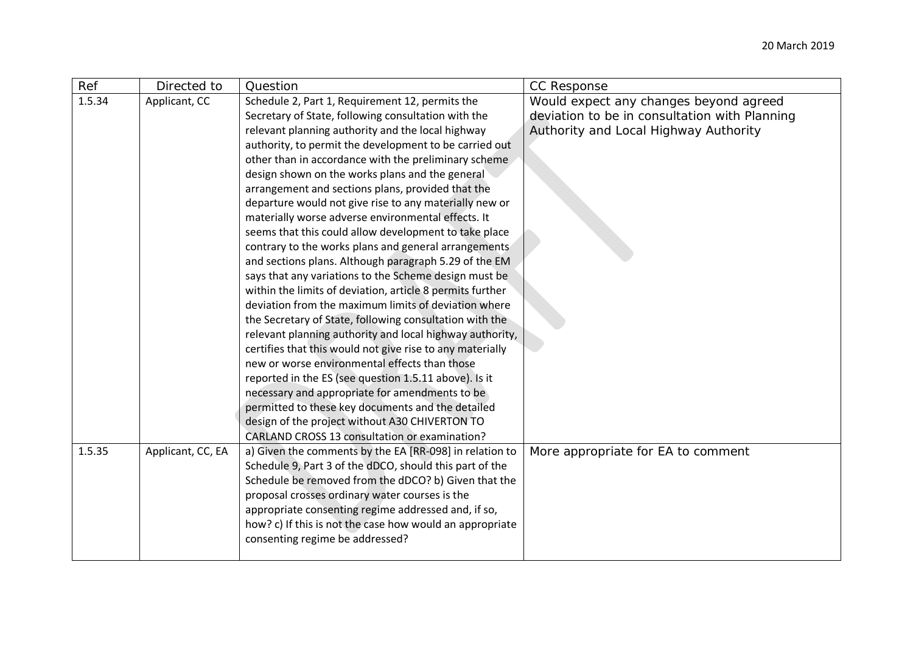| Ref    | Directed to       | Question                                                                                                                                                                                                                                                                                                                                                                                                                                                                                                                                                                                                                                                                                                                                                                                                                                                                                                                                                                                                                                                                                                                                                                                                                                                                                                             | CC Response                                                                                                                      |
|--------|-------------------|----------------------------------------------------------------------------------------------------------------------------------------------------------------------------------------------------------------------------------------------------------------------------------------------------------------------------------------------------------------------------------------------------------------------------------------------------------------------------------------------------------------------------------------------------------------------------------------------------------------------------------------------------------------------------------------------------------------------------------------------------------------------------------------------------------------------------------------------------------------------------------------------------------------------------------------------------------------------------------------------------------------------------------------------------------------------------------------------------------------------------------------------------------------------------------------------------------------------------------------------------------------------------------------------------------------------|----------------------------------------------------------------------------------------------------------------------------------|
| 1.5.34 | Applicant, CC     | Schedule 2, Part 1, Requirement 12, permits the<br>Secretary of State, following consultation with the<br>relevant planning authority and the local highway<br>authority, to permit the development to be carried out<br>other than in accordance with the preliminary scheme<br>design shown on the works plans and the general<br>arrangement and sections plans, provided that the<br>departure would not give rise to any materially new or<br>materially worse adverse environmental effects. It<br>seems that this could allow development to take place<br>contrary to the works plans and general arrangements<br>and sections plans. Although paragraph 5.29 of the EM<br>says that any variations to the Scheme design must be<br>within the limits of deviation, article 8 permits further<br>deviation from the maximum limits of deviation where<br>the Secretary of State, following consultation with the<br>relevant planning authority and local highway authority,<br>certifies that this would not give rise to any materially<br>new or worse environmental effects than those<br>reported in the ES (see question 1.5.11 above). Is it<br>necessary and appropriate for amendments to be<br>permitted to these key documents and the detailed<br>design of the project without A30 CHIVERTON TO | Would expect any changes beyond agreed<br>deviation to be in consultation with Planning<br>Authority and Local Highway Authority |
| 1.5.35 | Applicant, CC, EA | <b>CARLAND CROSS 13 consultation or examination?</b><br>a) Given the comments by the EA [RR-098] in relation to<br>Schedule 9, Part 3 of the dDCO, should this part of the<br>Schedule be removed from the dDCO? b) Given that the<br>proposal crosses ordinary water courses is the<br>appropriate consenting regime addressed and, if so,<br>how? c) If this is not the case how would an appropriate<br>consenting regime be addressed?                                                                                                                                                                                                                                                                                                                                                                                                                                                                                                                                                                                                                                                                                                                                                                                                                                                                           | More appropriate for EA to comment                                                                                               |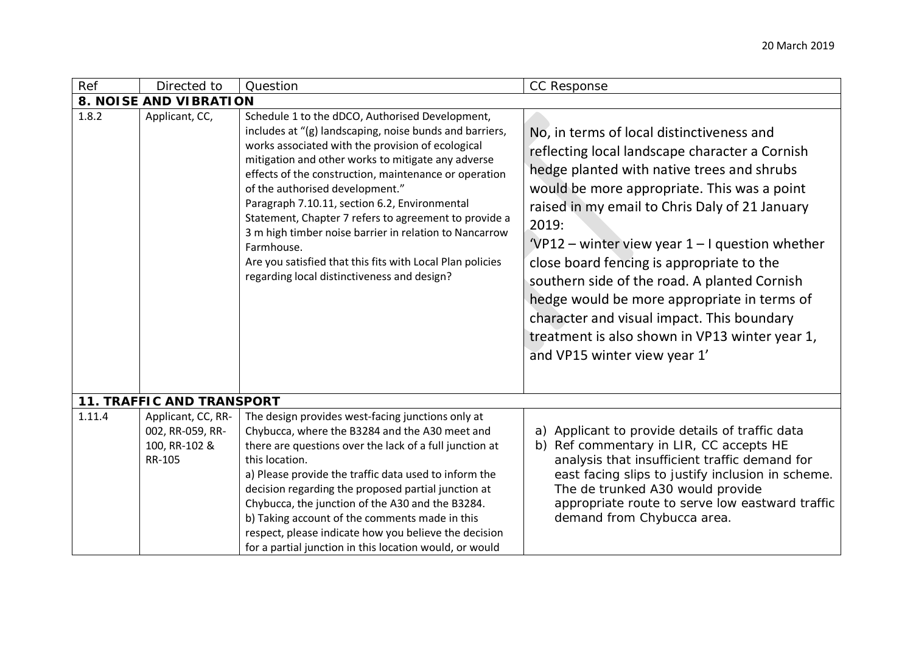| Ref    | Directed to                                                              | Question                                                                                                                                                                                                                                                                                                                                                                                                                                                                                                                                                                                                        | CC Response                                                                                                                                                                                                                                                                                                                                                                                                                                                                                                                                                                          |
|--------|--------------------------------------------------------------------------|-----------------------------------------------------------------------------------------------------------------------------------------------------------------------------------------------------------------------------------------------------------------------------------------------------------------------------------------------------------------------------------------------------------------------------------------------------------------------------------------------------------------------------------------------------------------------------------------------------------------|--------------------------------------------------------------------------------------------------------------------------------------------------------------------------------------------------------------------------------------------------------------------------------------------------------------------------------------------------------------------------------------------------------------------------------------------------------------------------------------------------------------------------------------------------------------------------------------|
|        | <b>8. NOISE AND VIBRATION</b>                                            |                                                                                                                                                                                                                                                                                                                                                                                                                                                                                                                                                                                                                 |                                                                                                                                                                                                                                                                                                                                                                                                                                                                                                                                                                                      |
| 1.8.2  | Applicant, CC,                                                           | Schedule 1 to the dDCO, Authorised Development,<br>includes at "(g) landscaping, noise bunds and barriers,<br>works associated with the provision of ecological<br>mitigation and other works to mitigate any adverse<br>effects of the construction, maintenance or operation<br>of the authorised development."<br>Paragraph 7.10.11, section 6.2, Environmental<br>Statement, Chapter 7 refers to agreement to provide a<br>3 m high timber noise barrier in relation to Nancarrow<br>Farmhouse.<br>Are you satisfied that this fits with Local Plan policies<br>regarding local distinctiveness and design? | No, in terms of local distinctiveness and<br>reflecting local landscape character a Cornish<br>hedge planted with native trees and shrubs<br>would be more appropriate. This was a point<br>raised in my email to Chris Daly of 21 January<br>2019:<br>'VP12 – winter view year $1 - 1$ question whether<br>close board fencing is appropriate to the<br>southern side of the road. A planted Cornish<br>hedge would be more appropriate in terms of<br>character and visual impact. This boundary<br>treatment is also shown in VP13 winter year 1,<br>and VP15 winter view year 1' |
|        | <b>11. TRAFFIC AND TRANSPORT</b>                                         |                                                                                                                                                                                                                                                                                                                                                                                                                                                                                                                                                                                                                 |                                                                                                                                                                                                                                                                                                                                                                                                                                                                                                                                                                                      |
| 1.11.4 | Applicant, CC, RR-<br>002, RR-059, RR-<br>100, RR-102 &<br><b>RR-105</b> | The design provides west-facing junctions only at<br>Chybucca, where the B3284 and the A30 meet and<br>there are questions over the lack of a full junction at<br>this location.<br>a) Please provide the traffic data used to inform the<br>decision regarding the proposed partial junction at<br>Chybucca, the junction of the A30 and the B3284.<br>b) Taking account of the comments made in this<br>respect, please indicate how you believe the decision<br>for a partial junction in this location would, or would                                                                                      | a) Applicant to provide details of traffic data<br>Ref commentary in LIR, CC accepts HE<br>b)<br>analysis that insufficient traffic demand for<br>east facing slips to justify inclusion in scheme.<br>The de trunked A30 would provide<br>appropriate route to serve low eastward traffic<br>demand from Chybucca area.                                                                                                                                                                                                                                                             |